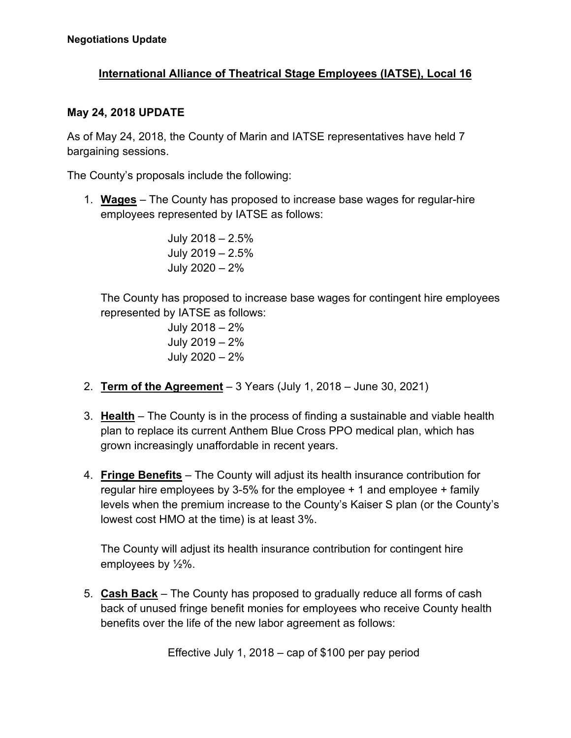## **International Alliance of Theatrical Stage Employees (IATSE), Local 16**

## **May 24, 2018 UPDATE**

As of May 24, 2018, the County of Marin and IATSE representatives have held 7 bargaining sessions.

The County's proposals include the following:

1. **Wages** – The County has proposed to increase base wages for regular-hire employees represented by IATSE as follows:

> July 2018 – 2.5% July 2019 – 2.5% July 2020 – 2%

 The County has proposed to increase base wages for contingent hire employees represented by IATSE as follows:

> July 2018 – 2% July 2019 – 2% July 2020 – 2%

- 2. **Term of the Agreement** 3 Years (July 1, 2018 June 30, 2021)
- 3. **Health** The County is in the process of finding a sustainable and viable health plan to replace its current Anthem Blue Cross PPO medical plan, which has grown increasingly unaffordable in recent years.
- 4. **Fringe Benefits** The County will adjust its health insurance contribution for regular hire employees by 3-5% for the employee + 1 and employee + family levels when the premium increase to the County's Kaiser S plan (or the County's lowest cost HMO at the time) is at least 3%.

The County will adjust its health insurance contribution for contingent hire employees by ½%.

5. **Cash Back** – The County has proposed to gradually reduce all forms of cash back of unused fringe benefit monies for employees who receive County health benefits over the life of the new labor agreement as follows:

Effective July 1, 2018 – cap of \$100 per pay period